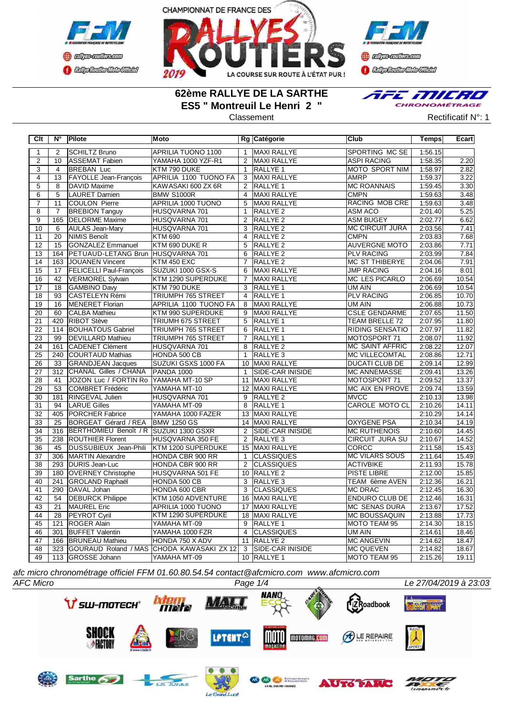



**()** algo-collascom **Complementation** 

## **62ème RALLYE DE LA SARTHE ES5 " Montreuil Le Henri 2 "**

E MILRO  $\overline{\mathbf{z}}$ CHRONOMÉTRAGE



| $\overline{C}$ It | $N^{\circ}$      | Pilote                                 | Moto                                      |                 | Rg Catégorie            | Club                   | Temps   | Ecart |
|-------------------|------------------|----------------------------------------|-------------------------------------------|-----------------|-------------------------|------------------------|---------|-------|
| $\mathbf{1}$      | 2                | SCHILTZ Bruno                          | APRILIA TUONO 1100                        | $\mathbf{1}$    | MAXI RALLYE             | SPORTING MC SE         | 1:56.15 |       |
| $\overline{2}$    | 10               | ASSEMAT Fabien                         | YAMAHA 1000 YZF-R1                        | 2               | MAXI RALLYE             | <b>ASPI RACING</b>     | 1:58.35 | 2.20  |
| $\overline{3}$    | $\overline{4}$   | <b>BREBAN Luc</b>                      | KTM 790 DUKE                              | $\mathbf{1}$    | RALLYE 1                | <b>MOTO SPORT NIM</b>  | 1:58.97 | 2.82  |
| $\overline{4}$    | $\overline{13}$  | <b>FAYOLLE Jean-François</b>           | <b>APRILIA 1100 TUONO FA</b>              | $\overline{3}$  | MAXI RALLYE             | AMRP                   | 1:59.37 | 3.22  |
| $\overline{5}$    | 8                | DAVID Maxime                           | KAWASAKI 600 ZX 6R                        | 2               | <b>RALLYE 1</b>         | <b>MC ROANNAIS</b>     | 1:59.45 | 3.30  |
| $\overline{6}$    | $\overline{5}$   | LAURET Damien                          | <b>BMW S1000R</b>                         | $\overline{4}$  | <b>MAXI RALLYE</b>      | <b>CMPN</b>            | 1:59.63 | 3.48  |
| $\overline{7}$    | 11               | <b>COULON Pierre</b>                   | APRILIA 1000 TUONO                        | 5               | <b>MAXI RALLYE</b>      | RACING MOB CRE         | 1:59.63 | 3.48  |
| $\overline{8}$    | $\overline{7}$   | <b>BREBION Tanguy</b>                  | HUSQVARNA 701                             | $\mathbf{1}$    | <b>RALLYE 2</b>         | <b>ASM ACO</b>         | 2:01.40 | 5.25  |
| $\overline{9}$    | 165              | <b>DELORME</b> Maxime                  | HUSQVARNA 701                             | 2               | RALLYE <sub>2</sub>     | <b>ASM BUGEY</b>       | 2:02.77 | 6.62  |
| 10                | 6                | <b>AULAS Jean-Mary</b>                 | HUSQVARNA 701                             | 3               | RALLYE <sub>2</sub>     | <b>MC CIRCUIT JURA</b> | 2:03.56 | 7.41  |
| 11                | 20               | NIMIS Benoît                           | <b>KTM 690</b>                            | $\overline{4}$  | RALLYE <sub>2</sub>     | <b>CMPN</b>            | 2:03.83 | 7.68  |
| 12                | 15               | GONZALEZ Emmanuel                      | KTM 690 DUKE R                            | $5\overline{5}$ | RALLYE <sub>2</sub>     | <b>AUVERGNE MOTO</b>   | 2:03.86 | 7.71  |
| 13                | 164              | <b>PETUAUD-LETANG Brun</b>             | HUSQVARNA 701                             | 6               | RALLYE <sub>2</sub>     | <b>PLV RACING</b>      | 2:03.99 | 7.84  |
| $\overline{14}$   | 163              | <b>JOUANEN Vincent</b>                 | KTM 450 EXC                               | $\overline{7}$  | RALLYE <sub>2</sub>     | <b>MC ST THIBERYE</b>  | 2:04.06 | 7.91  |
| $\overline{15}$   | 17               | <b>FELICELLI Paul-Francois</b>         | SUZUKI 1000 GSX-S                         | $\overline{6}$  | <b>MAXI RALLYE</b>      | <b>JMP RACING</b>      | 2:04.16 | 8.01  |
| $\overline{16}$   | $\overline{42}$  | VERMOREL Sylvain                       | KTM 1290 SUPERDUKE                        | $\overline{7}$  | <b>MAXI RALLYE</b>      | <b>MC LES PICARLO</b>  | 2:06.69 | 10.54 |
| 17                | 18               | <b>GAMBINO Davy</b>                    | KTM 790 DUKE                              | 3               | <b>RALLYE 1</b>         | UM AIN                 | 2:06.69 | 10.54 |
| $\overline{18}$   | $\overline{93}$  | <b>CASTELEYN Rémi</b>                  | <b>TRIUMPH 765 STREET</b>                 | $\overline{4}$  | <b>RALLYE 1</b>         | <b>PLV RACING</b>      | 2:06.85 | 10.70 |
| 19                | 16               | MENERET Florian                        | APRILIA 1100 TUONO FA                     | 8               | MAXI RALLYE             | UM AIN                 | 2:06.88 | 10.73 |
| 20                | 60               | <b>CALBA Mathieu</b>                   | KTM 990 SUPERDUKE                         | 9               | MAXI RALLYE             | <b>CSLE GENDARME</b>   | 2:07.65 | 11.50 |
| $\overline{21}$   | 420              | <b>RIBOT Stève</b>                     | TRIUMH 675 STREET                         | 5               | RALLYE 1                | <b>TEAM BRELLE 72</b>  | 2:07.95 | 11.80 |
| $\overline{22}$   | 114              | <b>BOUHATOUS Gabriel</b>               | TRIUMPH 765 STREET                        | 6               | <b>RALLYE 1</b>         | RIDING SENSATIO        | 2:07.97 | 11.82 |
| $\overline{23}$   | 99               | <b>DEVILLARD Mathieu</b>               | <b>TRIUMPH 765 STREET</b>                 | $\overline{7}$  | <b>RALLYE 1</b>         | MOTOSPORT 71           | 2:08.07 | 11.92 |
| $\overline{24}$   | 161              | <b>CADENET Clément</b>                 | HUSQVARNA 701                             | $\overline{8}$  | <b>RALLYE 2</b>         | <b>MC SAINT AFFRIC</b> | 2:08.22 | 12.07 |
| $\overline{25}$   | 240              | <b>COURTAUD Mathias</b>                | HONDA 500 CB                              | $\mathbf{1}$    | <b>RALLYE 3</b>         | <b>MC VILLECOMTAL</b>  | 2:08.86 | 12.71 |
| 26                | 33               | <b>GRANDJEAN Jacques</b>               | SUZUKI GSXS 1000 FA                       |                 | 10 MAXI RALLYE          | <b>DUCATI CLUB DE</b>  | 2:09.14 | 12.99 |
| 27                | 312              | CHANAL Gilles / CHANA                  | <b>PANDA 1000</b>                         | $\mathbf{1}$    | SIDE-CAR INISIDE        | <b>MC ANNEMASSE</b>    | 2:09.41 | 13.26 |
| 28                | 41               | JOZON Luc / FORTIN Ro YAMAHA MT-10 SP  |                                           | 11              | MAXI RALLYE             | MOTOSPORT 71           | 2:09.52 | 13.37 |
| 29                | 53               | COMBRET Frédéric                       | YAMAHA MT-10                              |                 | 12 MAXI RALLYE          | MC AIX EN PROVE        | 2:09.74 | 13.59 |
| 30                | 181              | RINGEVAL Julien                        | HUSQVARNA 701                             | 9               | RALLYE <sub>2</sub>     | <b>MVCC</b>            | 2:10.13 | 13.98 |
| 31                | 94               | <b>LARUE Gilles</b>                    | YAMAHA MT-09                              | 8               | RALLYE <sub>1</sub>     | CAROLE MOTO CL         | 2:10.26 | 14.11 |
| $\overline{32}$   | 405              | <b>PORCHER Fabrice</b>                 | YAMAHA 1000 FAZER                         |                 | 13 MAXI RALLYE          |                        | 2:10.29 | 14.14 |
| 33                | $\overline{25}$  | <b>BORGEAT Gérard / REA</b>            | <b>BMW 1250 GS</b>                        |                 | 14 MAXI RALLYE          | <b>OXYGENE PSA</b>     | 2:10.34 | 14.19 |
| $\overline{34}$   | 316              | BERTHOMIEU Benoît / R SUZUKI 1300 GSXR |                                           | $\overline{2}$  | <b>SIDE-CAR INISIDE</b> | <b>MC RUTHENOIS</b>    | 2:10.60 | 14.45 |
| $\overline{35}$   | 238              | <b>ROUTHIER Florent</b>                | HUSQVARNA 350 FE                          | $\overline{2}$  | RALLYE 3                | <b>CIRCUIT JURA SU</b> | 2:10.67 | 14.52 |
| $\overline{36}$   | 45               | DUSSUBIEUX Jean-Phili                  | KTM 1200 SUPERDUKE                        |                 | 15 MAXI RALLYE          | <b>CORCC</b>           | 2:11.58 | 15.43 |
| $\overline{37}$   | 306              | <b>IMARTIN Alexandre</b>               | HONDA CBR 900 RR                          | $\mathbf{1}$    | <b>CLASSIQUES</b>       | <b>MC VILARS SOUS</b>  | 2:11.64 | 15.49 |
| $\overline{38}$   | 293              | DURIS Jean-Luc                         | HONDA CBR 900 RR                          | 2               | <b>CLASSIQUES</b>       | <b>ACTIVBIKE</b>       | 2:11.93 | 15.78 |
| 39                | 180              | <b>OVERNEY Christophe</b>              | HUSQVARNA 501 FE                          |                 | 10 RALLYE 2             | PISTE LIBRE            | 2:12.00 | 15.85 |
| 40                | 241              | <b>GROLAND Raphaël</b>                 | HONDA 500 CB                              | 3               | RALLYE <sub>3</sub>     | TEAM 6ème AVEN         | 2:12.36 | 16.21 |
| 41                | 290              | DAVAL Johan                            | HONDA 600 CBR                             | 3               | <b>CLASSIQUES</b>       | <b>MC DRAC</b>         | 2:12.45 | 16.30 |
| $\overline{42}$   | 54               | <b>DEBURCK Philippe</b>                | KTM 1050 ADVENTURE                        | 16              | <b>MAXI RALLYE</b>      | <b>ENDURO CLUB DE</b>  | 2:12.46 | 16.31 |
| 43                | $\overline{21}$  | <b>MAUREL Eric</b>                     | <b>APRILIA 1000 TUONO</b>                 |                 | 17 MAXI RALLYE          | <b>MC SENAS DURA</b>   | 2:13.67 | 17.52 |
| $\overline{44}$   | $\overline{28}$  | <b>PEYROT Cyril</b>                    | KTM 1290 SUPERDUKE                        |                 | 18 MAXI RALLYE          | <b>MC BOUSSAQUIN</b>   | 2:13.88 | 17.73 |
| 45                | 121              | <b>ROGER Alain</b>                     | YAMAHA MT-09                              | $\overline{9}$  | <b>RALLYE 1</b>         | <b>MOTO TEAM 95</b>    | 2:14.30 | 18.15 |
| 46                | $\overline{301}$ | <b>BUFFET Valentin</b>                 | YAMAHA 1000 FZR                           | $\overline{4}$  | <b>CLASSIQUES</b>       | UM AIN                 | 2:14.61 | 18.46 |
| 47                | 166              | <b>BRUNEAU Mathieu</b>                 | HONDA 750 X ADV                           | 11              | RALLYE <sub>2</sub>     | <b>MC ANGEVIN</b>      | 2:14.62 | 18.47 |
| 48                | 323              |                                        | GOURAUD Roland / MAS CHODA KAWASAKI ZX 12 | 3               | SIDE-CAR INISIDE        | <b>MC QUEVEN</b>       | 2:14.82 | 18.67 |
| 49                |                  | 113 GROSSE Johann                      | YAMAHA MT-09                              |                 | 10 RALLYE 1             | MOTO TEAM 95           | 2:15.26 | 19.11 |

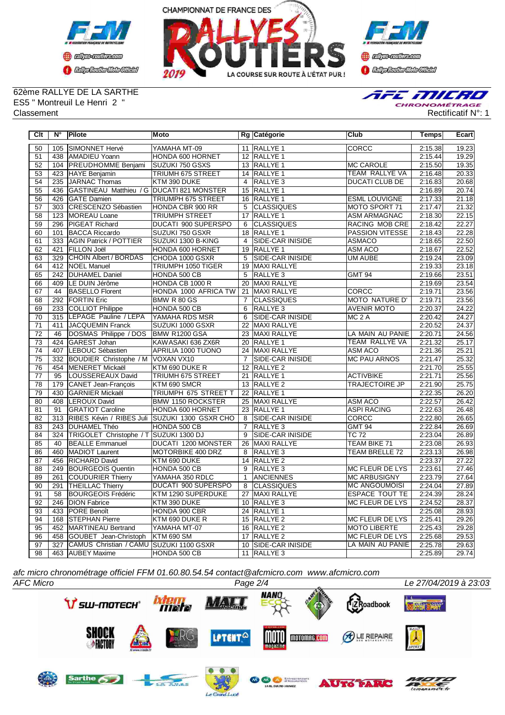



**B** refires renthas com **BEDplomerMoto Citeby** 

62ème RALLYE DE LA SARTHE ES5 " Montreuil Le Henri 2 "



**Clt N° Pilote Moto Rg Catégorie Club Temps Ecart** 50 105 SIMONNET Hervé YAMAHA MT-09 11 RALLYE 1 CORCC 2:15.38 19.23 51 438 AMADIEU Yoann HONDA 600 HORNET 12 RALLYE 1 2008 12:15.44 19.29<br>52 104 PREUDHOMME Beniami SUZUKI 750 GSXS 13 RALLYE 1 2008 2009 12:15.50 19.35 104 PREUDHOMME Benjami 53 423 HAYE Benjamin TRIUMH 675 STREET 14 RALLYE 1 TEAM RALLYE VA 2:16.48 20.33<br>54 235 JARNAC Thomas KTM 390 DUKE 4 RALLYE 3 DUCATI CLUB DE 2:16.83 20.68 235 JARNAC Thomas 55 436 GASTINEAU Matthieu / G DUCATI 821 MONSTER 15 RALLYE 1 2008 20074<br>56 426 GATE Damien 19 TRIUMPH 675 STREET 16 RALLYE 1 2:17.33 21.18 **TRIUMPH 675 STREET** 57 303 CRESCENZO Sébastien HONDA CBR 900 RR 5 CLASSIQUES MOTO SPORT 71 2:17.47 21.32 58 | 123 | MOREAU Loane | TRIUMPH STREET | 17 | RALLYE 1 | ASM ARMAGNAC | 2:18.30 | 22.15 59 296 PIGEAT Richard DUCATI 900 SUPERSPO 6 CLASSIQUES RACING MOB CRE 2:18.42 22.27 60 101 BACCA Riccardo SUZUKI 750 GSXR 18 RALLYE 1 PASSION VITESSE 2:18.43 22.28 61 333 AGIN Patrick / POTTIER SUZUKI 1300 B-KING 4 62 421 FILLON Joël HONDA 600 HORNET 19 RALLYE 1 ASM ACO 2:18.67 22.52 63 329 CHOIN Albert / BORDAS CHODA 1000 GSXR 5 SIDE-CAR INISIDE UM AUBE 2:19.24 23.09 64 412 NOEL Manuel TRIUMPH 1050 TIGER 19 MAXI RALLYE 2:19.33 23.18 242 DUHAMEL Danie 66 409 LE DUIN Jérôme HONDA CB 1000 R 20 MAXI RALLYE | 20 MAXI RALLYE | 2:19.69 23.54<br>67 44 BASELLO Florent | HONDA 1000 AFRICA TW 21 MAXI RALLYE | CORCC | 2:19.71 23.56 67 44 BASELLO Florent HONDA 1000 AFRICA TW 21 MAXI RALLYE CORCC 2:19.71 68 292 FORTIN Eric BMW R 80 GS 7 CLASSIQUES MOTO NATURE D' 2:19.71 23.56<br>69 233 COLLIOT Philippe HONDA 500 CB 6 RALLYE 3 AVENIR MOTO 2:20.37 24.22 69 233 COLLIOT Philippe HONDA 500 CB 6 70 315 LEPAGE Pauline / LEPA YAMAHA RDS MSR 6 SIDE-CAR INISIDE MC 2 A 2:20.42 24.27 71 411 JACQUEMIN Franck SUZUKI 1000 GSXR 22 MAXI RALLYE 2:20.52 24.37 72 46 DOSMAS Philippe / DOS BMW R1200 GSA 23 MAXI RALLYE LA MAIN AU PANIE 2:20.71 24.56 73 424 GAREST Johan KAWASAKI 636 ZX6R 20 RALLYE 1 TEAM RALLYE VA 2:21.32 25.17 74 407 LEBOUC Sébastien APRILIA 1000 TUONO 24 MAXI RALLYE ASM ACO 2:21.36 25.21<br>75 332 BOUDIER Christophe / M VOXAN VX10 7 SIDE-CAR INISIDE MC PAU ARNOS 2:21.47 25.32 75 332 BOUDIER Christophe / M VOXAN VX10 7 SIDE-CAR INISIDE MC PAU ARNOS 2:21.47 25.32<br>76 454 MENERET Mickaël KTM 690 DUKE R 12 RALLYE 2 154 MENERET Mickaël KTM 690 DUKE R<br>125 LOUSSEREAUX David TRIUMH 675 STREET 77 95 LOUSSEREAUX David TRIUMH 675 STREET 21 RALLYE 1 ACTIVBIKE 2:21.71 25.56<br>178 179 CANET Jean-François KTM 690 SMCR 13 RALLYE 2 TRAJECTOIRE JP 2:21.90 25.75 179 CANET Jean-François 79 430 GARNIER Mickaël TRIUMPH 675 STREET T 22 RALLYE 1 2:22.35 26.20 80 408 LEROUX David BMW 1150 ROCKSTER 25 81 91 GRATIOT Caroline HONDA 600 HORNET 23 RALLYE 1 ASPI RACING 2:22.63 26.48<br>82 313 RIBES Kévin / RIBES Juli SUZUKI 1300 GSXR CHO 8 SIDE-CAR INISIDE CORCC 2:22.80 26.65 82 313 RIBES Kévin / RIBES Juli SUZUKI 1300 GSXR CHO 8 SIDE-CAR INISIDE CORCC 2:22.80 26.65 83 243 DUHAMEL Théo HONDA 500 CB 7 RALLYE 3 GMT 94 2:22.84 26.69 84 324 TRIGOLET Christophe / T SUZUKI 1300 DJ 9 SIDE-CAR INISIDE TC 72 2:23.04 26.89<br>85 40 BEALLE Emmanuel DUCATI 1200 MONSTER 26 MAXI RALLYE TEAM BIKE 71 2:23.08 26.93 85 40 BEALLE Emmanuel DUCATI 1200 MONSTER 26 86 460 MADIOT Laurent MOTORBIKE 400 DRZ 8 RALLYE 3 TEAM BRELLE 72 2:23.13 26.98 87 456 RICHARD David KTM 690 DUKE 14 RALLYE 2 2008 2009 22:23.37 27.22 88 249 BOURGEOIS Quentin HONDA 500 CB 9 RALLYE 3 MC FLEUR DE LYS 2:23.61 27.46<br>89 261 COUDURIER Thierry YAMAHA 350 RDLC 1 ANCIENNES MC ARBUSIGNY 2:23.79 27.64 **COUDURIER Thierry** 90 291 THEILLAC Thierry DUCATI 900 SUPERSPO 8 CLASSIQUES MC ANGOUMOISI 2:24.04 27.89<br>91 58 BOURGEOIS Frédéric KTM 1290 SUPERDUKE 27 MAXI RALLYE ESPACE TOUT TE 2:24.39 28.24 91 58 BOURGEOIS Frédéric 92 246 DION Fabrice KTM 390 DUKE 10 RALLYE 3 MC FLEUR DE LYS 2:24.52 28.37<br>93 433 PORE Benoît HONDA 900 CBR 24 RALLYE 1 22 5.08 28.93 93 433 PORE Benoît HONDA 900 CBR 24 RALLYE 1 2:25.08 94 168 STEPHAN Pierre KTM 690 DUKE R 15 RALLYE 2 MC FLEUR DE LYS 2:25.41 29.26 95 452 MARTINEAU Bertrand YAMAHA MT-07 16 RALLYE 2 MOTO LIBERTE 2:25.43 29.28 96 458 GOUBET Jean-Christoph KTM 690 SM 17 RALLYE 2 MC FLEUR DE LYS<br>97 327 CAMUS Christian / CAMU SUZUKI 1100 GSXR 10 SIDE-CAR INISIDE LA MAIN AU PANIE 97 327 CAMUS Christian / CAMU SUZUKI 1100 GSXR 10 SIDE-CAR INISIDE LA MAIN AU PANIE 2:25.78 29.63 98 463 AUBEY Maxime HONDA 500 CB 11 RALLYE 3 2:25.89 29.74

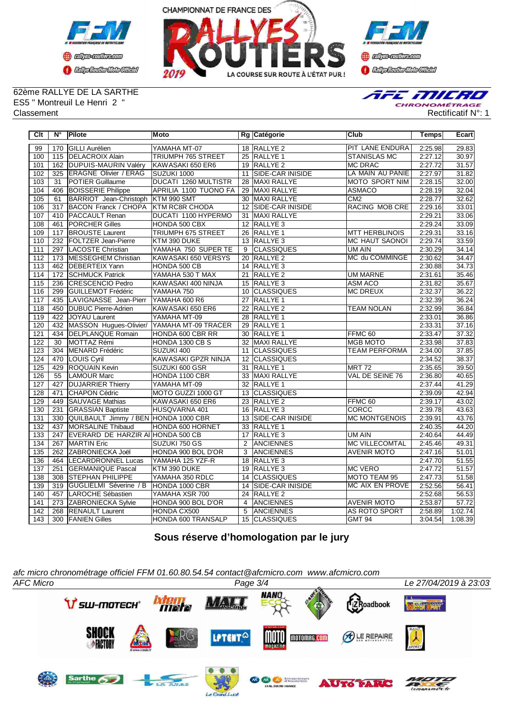



**D** clips colles con **CENTRAL MEDICATE** 

# 62ème RALLYE DE LA SARTHE ES5 " Montreuil Le Henri 2 "



| Clt              | $N^{\circ}$ | Pilote                                     | <b>Moto</b>                 |                   | Rg Catégorie            | <b>Club</b>            | <b>Temps</b> | Ecart   |
|------------------|-------------|--------------------------------------------|-----------------------------|-------------------|-------------------------|------------------------|--------------|---------|
| 99               |             | 170 GILLI Aurélien                         | YAMAHA MT-07                |                   | 18 RALLYE 2             | <b>PIT LANE ENDURA</b> | 2:25.98      | 29.83   |
| 100              |             | 115 DELACROIX Alain                        | TRIUMPH 765 STREET          |                   | 25 RALLYE 1             | <b>STANISLAS MC</b>    | 2:27.12      | 30.97   |
| 101              |             | 162 DUPUIS-MAURIN Valéry                   | KAWASAKI 650 ER6            |                   | 19 RALLYE 2             | <b>MC DRAC</b>         | 2:27.72      | 31.57   |
| 102              | 325         | <b>ERAGNE Olivier / ERAG</b>               | SUZUKI 1000                 | 11                | SIDE-CAR INISIDE        | LA MAIN AU PANIE       | 2:27.97      | 31.82   |
| 103              | 31          | <b>POTIER Guillaume</b>                    | <b>DUCATI 1260 MULTISTR</b> | 28                | <b>MAXI RALLYE</b>      | <b>MOTO SPORT NIM</b>  | 2:28.15      | 32.00   |
| 104              |             | 406 BOISSERIE Philippe                     | APRILIA 1100 TUONO FA       | 29                | <b>MAXI RALLYE</b>      | <b>ASMACO</b>          | 2:28.19      | 32.04   |
| 105              | 61          | BARRIOT Jean-Christoph                     | KTM 990 SMT                 | 30                | <b>MAXI RALLYE</b>      | CM2                    | 2:28.77      | 32.62   |
| 106              | 317         | <b>BACON Franck / CHOPA</b>                | <b>KTM RC8R CHODA</b>       | 12 <sup>12</sup>  | <b>SIDE-CAR INISIDE</b> | <b>RACING MOB CRE</b>  | 2:29.16      | 33.01   |
| 107              |             | 410   PACCAULT Renan                       | DUCATI 1100 HYPERMO         | 31                | <b>MAXI RALLYE</b>      |                        | 2:29.21      | 33.06   |
| 108              |             | 461 PORCHER Gilles                         | <b>HONDA 500 CBX</b>        |                   | 12 RALLYE 3             |                        | 2:29.24      | 33.09   |
| 109              |             | 117 BROUSTE Laurent                        | TRIUMPH 675 STREET          |                   | 26 RALLYE 1             | <b>MTT HERBLINOIS</b>  | 2:29.31      | 33.16   |
| 110              |             | 232 FOLTZER Jean-Pierre                    | KTM 390 DUKE                |                   | 13 RALLYE 3             | <b>MC HAUT SAONOI</b>  | 2:29.74      | 33.59   |
| 111              |             | 297 LACOSTE Christian                      | YAMAHA 750 SUPER TE         | 9                 | <b>CLASSIQUES</b>       | UM AIN                 | 2:30.29      | 34.14   |
| 112              | 173         | MESSEGHEM Christian                        | KAWASAKI 650 VERSYS         | 20                | <b>RALLYE 2</b>         | MC du COMMINGE         | 2:30.62      | 34.47   |
| 113              |             | 462 DEBERTEIX Yann                         | HONDA 500 CB                |                   | 14 RALLYE 3             |                        | 2:30.88      | 34.73   |
| 114              |             | 172 SCHMUCK Patrick                        | YAMAHA 530 T MAX            |                   | 21 RALLYE 2             | <b>UM MARNE</b>        | 2:31.61      | 35.46   |
| 115              | 236         | <b>CRESCENCIO Pedro</b>                    | KAWASAKI 400 NINJA          |                   | 15 RALLYE 3             | ASM ACO                | 2:31.82      | 35.67   |
| 116              | 299         | <b>IGUILLEMOT Frédéric</b>                 | YAMAHA 750                  | 10                | <b>CLASSIQUES</b>       | <b>MC DREUX</b>        | 2:32.37      | 36.22   |
| 117              | 435         | LAVIGNASSE Jean-Pierr                      | YAMAHA 600 R6               | $\overline{27}$   | RALLYE <sub>1</sub>     |                        | 2:32.39      | 36.24   |
| $\overline{118}$ |             | 450   DUBUC Pierre-Adrien                  | KAWASAKI 650 ER6            |                   | 22 RALLYE 2             | <b>TEAM NOLAN</b>      | 2:32.99      | 36.84   |
| $\overline{119}$ | 422         | JOYAU Laurent                              | YAMAHA MT-09                |                   | 28 RALLYE 1             |                        | 2:33.01      | 36.86   |
| 120              | 432         | MASSON Hugues-Olivier/ YAMAHA MT-09 TRACER |                             |                   | 29 RALLYE 1             |                        | 2:33.31      | 37.16   |
| $\overline{121}$ | 434         | <b>DELPLANQUE Romain</b>                   | HONDA 600 CBR RR            | 30                | <b>RALLYE 1</b>         | FFMC <sub>60</sub>     | 2:33.47      | 37.32   |
| 122              | 30          | MOTTAZ Rémi                                | HONDA 1300 CB S             | 32                | MAXI RALLYE             | <b>MGB MOTO</b>        | 2:33.98      | 37.83   |
| 123              | 304         | MENARD Frédéric                            | SUZUKI 400                  | 11                | <b>CLASSIQUES</b>       | <b>TEAM PERFORMA</b>   | 2:34.00      | 37.85   |
| 124              | 470         | LOUIS Cyril                                | KAWASAKI GPZR NINJA         | $12 \overline{ }$ | <b>ICLASSIQUES</b>      |                        | 2:34.52      | 38.37   |
| 125              | 429         | <b>ROQUAIN Kevin</b>                       | SUZUKI 600 GSR              |                   | 31 RALLYE 1             | MRT <sub>72</sub>      | 2:35.65      | 39.50   |
| 126              | 55          | <b>LAMOUR Marc</b>                         | HONDA 1100 CBR              |                   | 33 MAXI RALLYE          | VAL DE SEINE 76        | 2:36.80      | 40.65   |
| 127              | 427         | <b>DUJARRIER Thierry</b>                   | YAMAHA MT-09                |                   | 32 RALLYE 1             |                        | 2:37.44      | 41.29   |
| 128              | 471         | <b>CHAPON Cédric</b>                       | MOTO GUZZI 1000 GT          |                   | 13 CLASSIQUES           |                        | 2:39.09      | 42.94   |
| $\overline{129}$ | 449         | <b>SAUVAGE Mathias</b>                     | KAWASAKI 650 ER6            |                   | 23 RALLYE 2             | FFMC <sub>60</sub>     | 2:39.17      | 43.02   |
| 130              | 231         | <b>GRASSIAN Baptiste</b>                   | HUSQVARNA 401               |                   | 16 RALLYE 3             | <b>CORCC</b>           | 2:39.78      | 43.63   |
| 131              | 330         | QUILBAULT Jimmy / BEN HONDA 1000 CBR       |                             |                   | 13 SIDE-CAR INISIDE     | <b>MC MONTGENOIS</b>   | 2:39.91      | 43.76   |
| 132              | 437         | MORSALINE Thibaud                          | HONDA 600 HORNET            | 33                | <b>RALLYE 1</b>         |                        | 2:40.35      | 44.20   |
| 133              | 247         | EVERARD DE HARZIR AI HONDA 500 CB          |                             |                   | 17 RALLYE 3             | UM AIN                 | 2:40.64      | 44.49   |
| 134              |             | 267 IMARTIN Eric                           | SUZUKI 750 GS               | 2                 | <b>ANCIENNES</b>        | <b>MC VILLECOMTAL</b>  | 2:45.46      | 49.31   |
| 135              | 262         | ZABRONIECKA Joël                           | HONDA 900 BOL D'OR          | 3                 | <b>ANCIENNES</b>        | <b>AVENIR MOTO</b>     | 2:47.16      | 51.01   |
| 136              |             | 464 LECARDRONNEL Lucas                     | YAMAHA 125 YZF-R            | 18                | RALLYE <sub>3</sub>     |                        | 2:47.70      | 51.55   |
| 137              | 251         | <b>GERMANIQUE Pascal</b>                   | KTM 390 DUKE                | 19                | RALLYE <sub>3</sub>     | <b>MC VERO</b>         | 2:47.72      | 51.57   |
| 138              |             | 308 STEPHAN PHILIPPE                       | YAMAHA 350 RDLC             |                   | 14 CLASSIQUES           | MOTO TEAM 95           | 2:47.73      | 51.58   |
| 139              |             | 319 GUGLIELMI Séverine / B                 | HONDA 1000 CBR              |                   | 14 SIDE-CAR INISIDE     | <b>MC AIX EN PROVE</b> | 2:52.56      | 56.41   |
| 140              | 457         | LAROCHE Sébastien                          | YAMAHA XSR 700              |                   | 24 RALLYE 2             |                        | 2:52.68      | 56.53   |
| 141              |             | 273 ZABRONIECKA Sylvie                     | HONDA 900 BOL D'OR          | $\overline{4}$    | <b>ANCIENNES</b>        | <b>AVENIR MOTO</b>     | 2:53.87      | 57.72   |
| 142              | 268         | <b>RENAULT Laurent</b>                     | HONDA CX500                 | 5                 | <b>IANCIENNES</b>       | AS ROTO SPORT          | 2:58.89      | 1:02.74 |
| 143              |             | 300 FANIEN Gilles                          | HONDA 600 TRANSALP          |                   | 15 CLASSIQUES           | GMT 94                 | 3:04.54      | 1:08.39 |

# **Sous réserve d'homologation par le jury**